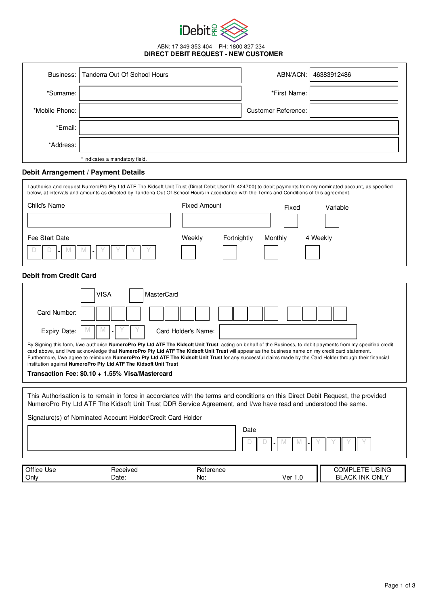

ABN: 17 349 353 404 PH: 1800 827 234 **DIRECT DEBIT REQUEST - NEW CUSTOMER**

|                | Business:   Tanderra Out Of School Hours | ABN/ACN:                   | 46383912486 |
|----------------|------------------------------------------|----------------------------|-------------|
| *Surname:      |                                          | *First Name:               |             |
| *Mobile Phone: |                                          | <b>Customer Reference:</b> |             |
| *Email:        |                                          |                            |             |
| *Address:      |                                          |                            |             |
|                | * indicates a mandatory field.           |                            |             |

# **Debit Arrangement / Payment Details**

Date:

|                                                                                                                                                                                                                                                                                                                                                                                                                                                                                                                                                        | I authorise and request NumeroPro Pty Ltd ATF The Kidsoft Unit Trust (Direct Debit User ID: 424700) to debit payments from my nominated account, as specified<br>below, at intervals and amounts as directed by Tanderra Out Of School Hours in accordance with the Terms and Conditions of this agreement. |                     |                        |                       |  |  |  |
|--------------------------------------------------------------------------------------------------------------------------------------------------------------------------------------------------------------------------------------------------------------------------------------------------------------------------------------------------------------------------------------------------------------------------------------------------------------------------------------------------------------------------------------------------------|-------------------------------------------------------------------------------------------------------------------------------------------------------------------------------------------------------------------------------------------------------------------------------------------------------------|---------------------|------------------------|-----------------------|--|--|--|
| Child's Name                                                                                                                                                                                                                                                                                                                                                                                                                                                                                                                                           |                                                                                                                                                                                                                                                                                                             | <b>Fixed Amount</b> | Fixed                  | Variable              |  |  |  |
|                                                                                                                                                                                                                                                                                                                                                                                                                                                                                                                                                        |                                                                                                                                                                                                                                                                                                             |                     |                        |                       |  |  |  |
| Fee Start Date                                                                                                                                                                                                                                                                                                                                                                                                                                                                                                                                         |                                                                                                                                                                                                                                                                                                             | Weekly              | Fortnightly<br>Monthly | 4 Weekly              |  |  |  |
|                                                                                                                                                                                                                                                                                                                                                                                                                                                                                                                                                        |                                                                                                                                                                                                                                                                                                             |                     |                        |                       |  |  |  |
| <b>Debit from Credit Card</b>                                                                                                                                                                                                                                                                                                                                                                                                                                                                                                                          |                                                                                                                                                                                                                                                                                                             |                     |                        |                       |  |  |  |
|                                                                                                                                                                                                                                                                                                                                                                                                                                                                                                                                                        | <b>VISA</b><br><b>MasterCard</b>                                                                                                                                                                                                                                                                            |                     |                        |                       |  |  |  |
| Card Number:                                                                                                                                                                                                                                                                                                                                                                                                                                                                                                                                           |                                                                                                                                                                                                                                                                                                             |                     |                        |                       |  |  |  |
| Expiry Date:                                                                                                                                                                                                                                                                                                                                                                                                                                                                                                                                           |                                                                                                                                                                                                                                                                                                             | Card Holder's Name: |                        |                       |  |  |  |
| By Signing this form, I/we authorise NumeroPro Pty Ltd ATF The Kidsoft Unit Trust, acting on behalf of the Business, to debit payments from my specified credit<br>card above, and I/we acknowledge that NumeroPro Pty Ltd ATF The Kidsoft Unit Trust will appear as the business name on my credit card statement.<br>Furthermore, I/we agree to reimburse NumeroPro Pty Ltd ATF The Kidsoft Unit Trust for any successful claims made by the Card Holder through their financial<br>institution against NumeroPro Pty Ltd ATF The Kidsoft Unit Trust |                                                                                                                                                                                                                                                                                                             |                     |                        |                       |  |  |  |
| Transaction Fee: \$0.10 + 1.55% Visa/Mastercard                                                                                                                                                                                                                                                                                                                                                                                                                                                                                                        |                                                                                                                                                                                                                                                                                                             |                     |                        |                       |  |  |  |
| This Authorisation is to remain in force in accordance with the terms and conditions on this Direct Debit Request, the provided<br>NumeroPro Pty Ltd ATF The Kidsoft Unit Trust DDR Service Agreement, and I/we have read and understood the same.                                                                                                                                                                                                                                                                                                     |                                                                                                                                                                                                                                                                                                             |                     |                        |                       |  |  |  |
|                                                                                                                                                                                                                                                                                                                                                                                                                                                                                                                                                        | Signature(s) of Nominated Account Holder/Credit Card Holder                                                                                                                                                                                                                                                 |                     |                        |                       |  |  |  |
|                                                                                                                                                                                                                                                                                                                                                                                                                                                                                                                                                        |                                                                                                                                                                                                                                                                                                             |                     | Date                   |                       |  |  |  |
| Office Use                                                                                                                                                                                                                                                                                                                                                                                                                                                                                                                                             | Received                                                                                                                                                                                                                                                                                                    | Reference           |                        | <b>COMPLETE USING</b> |  |  |  |
| Only                                                                                                                                                                                                                                                                                                                                                                                                                                                                                                                                                   | Date:                                                                                                                                                                                                                                                                                                       | No:                 | Ver 1.0                | <b>BLACK INK ONLY</b> |  |  |  |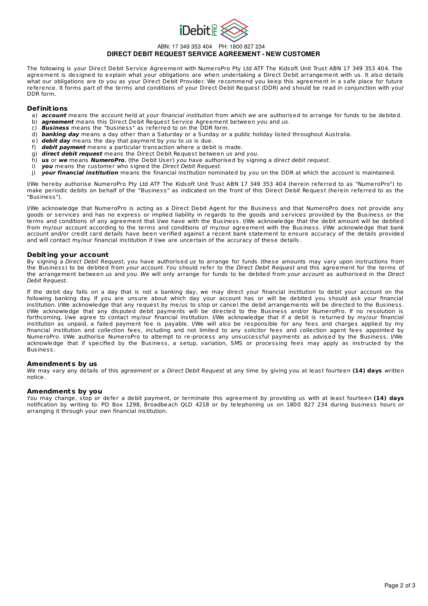

### ABN: 17 349 353 404 PH: 1800 827 234 **DIRECT DEBIT REQUEST SERVICE AGREEMENT - NEW CUSTOMER**

The following is your Direct Debit Service Agreement with NumeroPro Pty Ltd ATF The Kidsoft Unit Trust ABN 17 349 353 404. The agreement is designed to explain what your obligations are when undertaking a Direct Debit arrangement with us. It also details what our obligations are to you as your Direct Debit Provider. We recommend you keep this agreement in a safe place for future reference. It forms part of the terms and conditions of your Direct Debit Request (DDR) and should be read in conjunction with your DDR form.

#### **Definit ions**

- a) **account** means the account held at your financial institution from which we are authorised to arrange for funds to be debited.
- b) **agreement** means this Direct Debit Request Service Agreement between you and us.
- c) **Business** means the "business" as referred to on the DDR form.
- d) **banking day** means a day other than a Saturday or a Sunday or a public holiday listed throughout Australia.
- e) **debit day** means the day that payment by you to us is due.
- f) **debit payment** means a particular transaction where a debit is made.
- g) **direct debit request** means the Direct Debit Request between us and you.
- h) **us** or **we** means **NumeroPro**, (the Debit User) you have authorised by signing a direct debit request.
- i) **you** means the customer who signed the Direct Debit Request.
- j) **your financial institution** means the financial institution nominated by you on the DDR at which the account is maintained.

I/We hereby authorise NumeroPro Pty Ltd ATF The Kidsoft Unit Trust ABN 17 349 353 404 (herein referred to as "NumeroPro") to make periodic debits on behalf of the "Business" as indicated on the front of this Direct Debit Request (herein referred to as the "Business").

I/We acknowledge that NumeroPro is acting as a Direct Debit Agent for the Business and that NumeroPro does not provide any goods or services and has no express or implied liability in regards to the goods and services provided by the Business or the terms and conditions of any agreement that I/we have with the Business. I/We acknowledge that the debit amount will be debited from my/our account according to the terms and conditions of my/our agreement with the Business. I/We acknowledge that bank account and/or credit card details have been verified against a recent bank statement to ensure accuracy of the details provided and will contact my/our financial institution if I/we are uncertain of the accuracy of these details.

#### **Debit ing your account**

By signing a Direct Debit Request, you have authorised us to arrange for funds (these amounts may vary upon instructions from the Business) to be debited from your account. You should refer to the Direct Debit Request and this agreement for the terms of the arrangement between us and you. We will only arrange for funds to be debited from your account as authorised in the Direct Debit Request.

If the debit day falls on a day that is not a banking day, we may direct your financial institution to debit your account on the following banking day. If you are unsure about which day your account has or will be debited you should ask your financial institution. I/We acknowledge that any request by me/us to stop or cancel the debit arrangements will be directed to the Business. I/We acknowledge that any disputed debit payments will be directed to the Business and/or NumeroPro. If no resolution is forthcoming, I/we agree to contact my/our financial institution. I/We acknowledge that if a debit is returned by my/our financial institution as unpaid, a failed payment fee is payable. I/We will also be responsible for any fees and charges applied by my financial institution and collection fees, including and not limited to any solicitor fees and collection agent fees appointed by NumeroPro. I/We authorise NumeroPro to attempt to re-process any unsuccessful payments as advised by the Business. I/We acknowledge that if specified by the Business, a setup, variation, SMS or processing fees may apply as instructed by the Business.

#### **Amendments by us**

We may vary any details of this agreement or a Direct Debit Request at any time by giving you at least fourteen **(14) days** written notice.

#### **Amendments by you**

You may change, stop or defer a debit payment, or terminate this agreement by providing us with at least fourteen **(14) days** notification by writing to: PO Box 1298, Broadbeach QLD 4218 or by telephoning us on 1800 827 234 during business hours or arranging it through your own financial institution.